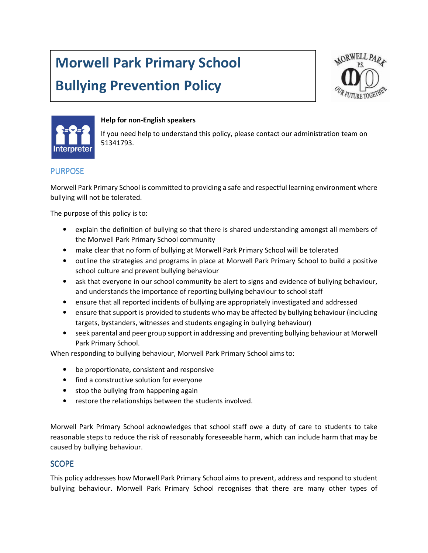# Morwell Park Primary School

# Bullying Prevention Policy





#### Help for non-English speakers

If you need help to understand this policy, please contact our administration team on 51341793.

#### PURPOSE

Morwell Park Primary School is committed to providing a safe and respectful learning environment where bullying will not be tolerated.

The purpose of this policy is to:

- explain the definition of bullying so that there is shared understanding amongst all members of the Morwell Park Primary School community
- make clear that no form of bullying at Morwell Park Primary School will be tolerated
- outline the strategies and programs in place at Morwell Park Primary School to build a positive school culture and prevent bullying behaviour
- ask that everyone in our school community be alert to signs and evidence of bullying behaviour, and understands the importance of reporting bullying behaviour to school staff
- ensure that all reported incidents of bullying are appropriately investigated and addressed
- ensure that support is provided to students who may be affected by bullying behaviour (including targets, bystanders, witnesses and students engaging in bullying behaviour)
- seek parental and peer group support in addressing and preventing bullying behaviour at Morwell Park Primary School.

When responding to bullying behaviour, Morwell Park Primary School aims to:

- be proportionate, consistent and responsive
- find a constructive solution for everyone
- stop the bullying from happening again
- restore the relationships between the students involved.

Morwell Park Primary School acknowledges that school staff owe a duty of care to students to take reasonable steps to reduce the risk of reasonably foreseeable harm, which can include harm that may be caused by bullying behaviour.

#### **SCOPE**

This policy addresses how Morwell Park Primary School aims to prevent, address and respond to student bullying behaviour. Morwell Park Primary School recognises that there are many other types of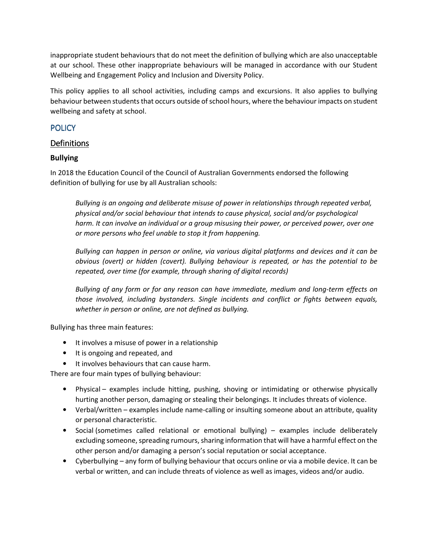inappropriate student behaviours that do not meet the definition of bullying which are also unacceptable at our school. These other inappropriate behaviours will be managed in accordance with our Student Wellbeing and Engagement Policy and Inclusion and Diversity Policy.

This policy applies to all school activities, including camps and excursions. It also applies to bullying behaviour between students that occurs outside of school hours, where the behaviour impacts on student wellbeing and safety at school.

## **POLICY**

## **Definitions**

#### Bullying

In 2018 the Education Council of the Council of Australian Governments endorsed the following definition of bullying for use by all Australian schools:

Bullying is an ongoing and deliberate misuse of power in relationships through repeated verbal, physical and/or social behaviour that intends to cause physical, social and/or psychological harm. It can involve an individual or a group misusing their power, or perceived power, over one or more persons who feel unable to stop it from happening.

Bullying can happen in person or online, via various digital platforms and devices and it can be obvious (overt) or hidden (covert). Bullying behaviour is repeated, or has the potential to be repeated, over time (for example, through sharing of digital records)

Bullying of any form or for any reason can have immediate, medium and long-term effects on those involved, including bystanders. Single incidents and conflict or fights between equals, whether in person or online, are not defined as bullying.

Bullying has three main features:

- It involves a misuse of power in a relationship
- It is ongoing and repeated, and
- It involves behaviours that can cause harm.

There are four main types of bullying behaviour:

- Physical examples include hitting, pushing, shoving or intimidating or otherwise physically hurting another person, damaging or stealing their belongings. It includes threats of violence.
- Verbal/written examples include name-calling or insulting someone about an attribute, quality or personal characteristic.
- Social (sometimes called relational or emotional bullying) examples include deliberately excluding someone, spreading rumours, sharing information that will have a harmful effect on the other person and/or damaging a person's social reputation or social acceptance.
- Cyberbullying any form of bullying behaviour that occurs online or via a mobile device. It can be verbal or written, and can include threats of violence as well as images, videos and/or audio.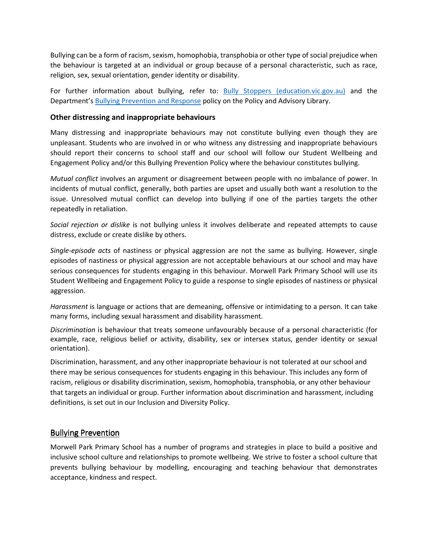Bullying can be a form of racism, sexism, homophobia, transphobia or other type of social prejudice when the behaviour is targeted at an individual or group because of a personal characteristic, such as race, religion, sex, sexual orientation, gender identity or disability.

For further information about bullying, refer to: **Bully Stoppers (education.vic.gov.au)** and the Department's Bullying Prevention and Response policy on the Policy and Advisory Library.

#### Other distressing and inappropriate behaviours

Many distressing and inappropriate behaviours may not constitute bullying even though they are unpleasant. Students who are involved in or who witness any distressing and inappropriate behaviours should report their concerns to school staff and our school will follow our Student Wellbeing and Engagement Policy and/or this Bullying Prevention Policy where the behaviour constitutes bullying.

Mutual conflict involves an argument or disagreement between people with no imbalance of power. In incidents of mutual conflict, generally, both parties are upset and usually both want a resolution to the issue. Unresolved mutual conflict can develop into bullying if one of the parties targets the other repeatedly in retaliation.

Social rejection or dislike is not bullying unless it involves deliberate and repeated attempts to cause distress, exclude or create dislike by others.

Single-episode acts of nastiness or physical aggression are not the same as bullying. However, single episodes of nastiness or physical aggression are not acceptable behaviours at our school and may have serious consequences for students engaging in this behaviour. Morwell Park Primary School will use its Student Wellbeing and Engagement Policy to guide a response to single episodes of nastiness or physical aggression.

Harassment is language or actions that are demeaning, offensive or intimidating to a person. It can take many forms, including sexual harassment and disability harassment.

Discrimination is behaviour that treats someone unfavourably because of a personal characteristic (for example, race, religious belief or activity, disability, sex or intersex status, gender identity or sexual orientation).

Discrimination, harassment, and any other inappropriate behaviour is not tolerated at our school and there may be serious consequences for students engaging in this behaviour. This includes any form of racism, religious or disability discrimination, sexism, homophobia, transphobia, or any other behaviour that targets an individual or group. Further information about discrimination and harassment, including definitions, is set out in our Inclusion and Diversity Policy.

#### Bullying Prevention

Morwell Park Primary School has a number of programs and strategies in place to build a positive and inclusive school culture and relationships to promote wellbeing. We strive to foster a school culture that prevents bullying behaviour by modelling, encouraging and teaching behaviour that demonstrates acceptance, kindness and respect.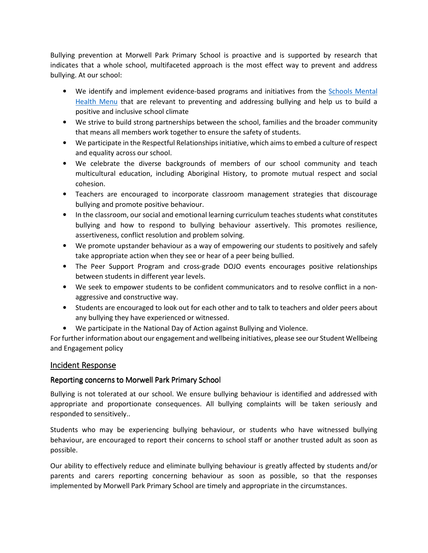Bullying prevention at Morwell Park Primary School is proactive and is supported by research that indicates that a whole school, multifaceted approach is the most effect way to prevent and address bullying. At our school:

- We identify and implement evidence-based programs and initiatives from the Schools Mental Health Menu that are relevant to preventing and addressing bullying and help us to build a positive and inclusive school climate
- We strive to build strong partnerships between the school, families and the broader community that means all members work together to ensure the safety of students.
- We participate in the Respectful Relationships initiative, which aims to embed a culture of respect and equality across our school.
- We celebrate the diverse backgrounds of members of our school community and teach multicultural education, including Aboriginal History, to promote mutual respect and social cohesion.
- Teachers are encouraged to incorporate classroom management strategies that discourage bullying and promote positive behaviour.
- In the classroom, our social and emotional learning curriculum teaches students what constitutes bullying and how to respond to bullying behaviour assertively. This promotes resilience, assertiveness, conflict resolution and problem solving.
- We promote upstander behaviour as a way of empowering our students to positively and safely take appropriate action when they see or hear of a peer being bullied.
- The Peer Support Program and cross-grade DOJO events encourages positive relationships between students in different year levels.
- We seek to empower students to be confident communicators and to resolve conflict in a nonaggressive and constructive way.
- Students are encouraged to look out for each other and to talk to teachers and older peers about any bullying they have experienced or witnessed.
- We participate in the National Day of Action against Bullying and Violence.

For further information about our engagement and wellbeing initiatives, please see our Student Wellbeing and Engagement policy

#### Incident Response

#### Reporting concerns to Morwell Park Primary School

Bullying is not tolerated at our school. We ensure bullying behaviour is identified and addressed with appropriate and proportionate consequences. All bullying complaints will be taken seriously and responded to sensitively..

Students who may be experiencing bullying behaviour, or students who have witnessed bullying behaviour, are encouraged to report their concerns to school staff or another trusted adult as soon as possible.

Our ability to effectively reduce and eliminate bullying behaviour is greatly affected by students and/or parents and carers reporting concerning behaviour as soon as possible, so that the responses implemented by Morwell Park Primary School are timely and appropriate in the circumstances.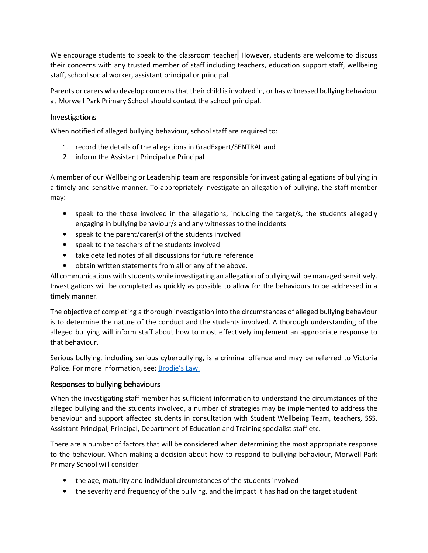We encourage students to speak to the classroom teacher. However, students are welcome to discuss their concerns with any trusted member of staff including teachers, education support staff, wellbeing staff, school social worker, assistant principal or principal.

Parents or carers who develop concerns that their child is involved in, or has witnessed bullying behaviour at Morwell Park Primary School should contact the school principal.

#### **Investigations**

When notified of alleged bullying behaviour, school staff are required to:

- 1. record the details of the allegations in GradExpert/SENTRAL and
- 2. inform the Assistant Principal or Principal

A member of our Wellbeing or Leadership team are responsible for investigating allegations of bullying in a timely and sensitive manner. To appropriately investigate an allegation of bullying, the staff member may:

- speak to the those involved in the allegations, including the target/s, the students allegedly engaging in bullying behaviour/s and any witnesses to the incidents
- speak to the parent/carer(s) of the students involved
- speak to the teachers of the students involved
- take detailed notes of all discussions for future reference
- obtain written statements from all or any of the above.

All communications with students while investigating an allegation of bullying will be managed sensitively. Investigations will be completed as quickly as possible to allow for the behaviours to be addressed in a timely manner.

The objective of completing a thorough investigation into the circumstances of alleged bullying behaviour is to determine the nature of the conduct and the students involved. A thorough understanding of the alleged bullying will inform staff about how to most effectively implement an appropriate response to that behaviour.

Serious bullying, including serious cyberbullying, is a criminal offence and may be referred to Victoria Police. For more information, see: Brodie's Law.

#### Responses to bullying behaviours

When the investigating staff member has sufficient information to understand the circumstances of the alleged bullying and the students involved, a number of strategies may be implemented to address the behaviour and support affected students in consultation with Student Wellbeing Team, teachers, SSS, Assistant Principal, Principal, Department of Education and Training specialist staff etc.

There are a number of factors that will be considered when determining the most appropriate response to the behaviour. When making a decision about how to respond to bullying behaviour, Morwell Park Primary School will consider:

- the age, maturity and individual circumstances of the students involved
- the severity and frequency of the bullying, and the impact it has had on the target student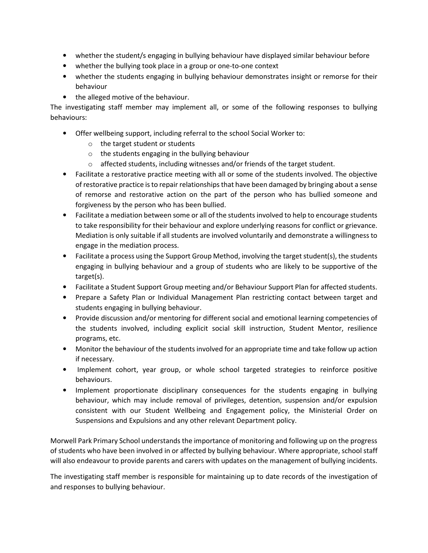- whether the student/s engaging in bullying behaviour have displayed similar behaviour before
- whether the bullying took place in a group or one-to-one context
- whether the students engaging in bullying behaviour demonstrates insight or remorse for their behaviour
- the alleged motive of the behaviour.

The investigating staff member may implement all, or some of the following responses to bullying behaviours:

- Offer wellbeing support, including referral to the school Social Worker to:
	- o the target student or students
	- o the students engaging in the bullying behaviour
	- o affected students, including witnesses and/or friends of the target student.
- Facilitate a restorative practice meeting with all or some of the students involved. The objective of restorative practice is to repair relationships that have been damaged by bringing about a sense of remorse and restorative action on the part of the person who has bullied someone and forgiveness by the person who has been bullied.
- Facilitate a mediation between some or all of the students involved to help to encourage students to take responsibility for their behaviour and explore underlying reasons for conflict or grievance. Mediation is only suitable if all students are involved voluntarily and demonstrate a willingness to engage in the mediation process.
- Facilitate a process using the Support Group Method, involving the target student(s), the students engaging in bullying behaviour and a group of students who are likely to be supportive of the target(s).
- Facilitate a Student Support Group meeting and/or Behaviour Support Plan for affected students.
- Prepare a Safety Plan or Individual Management Plan restricting contact between target and students engaging in bullying behaviour.
- Provide discussion and/or mentoring for different social and emotional learning competencies of the students involved, including explicit social skill instruction, Student Mentor, resilience programs, etc.
- Monitor the behaviour of the students involved for an appropriate time and take follow up action if necessary.
- Implement cohort, year group, or whole school targeted strategies to reinforce positive behaviours.
- Implement proportionate disciplinary consequences for the students engaging in bullying behaviour, which may include removal of privileges, detention, suspension and/or expulsion consistent with our Student Wellbeing and Engagement policy, the Ministerial Order on Suspensions and Expulsions and any other relevant Department policy.

Morwell Park Primary School understands the importance of monitoring and following up on the progress of students who have been involved in or affected by bullying behaviour. Where appropriate, school staff will also endeavour to provide parents and carers with updates on the management of bullying incidents.

The investigating staff member is responsible for maintaining up to date records of the investigation of and responses to bullying behaviour.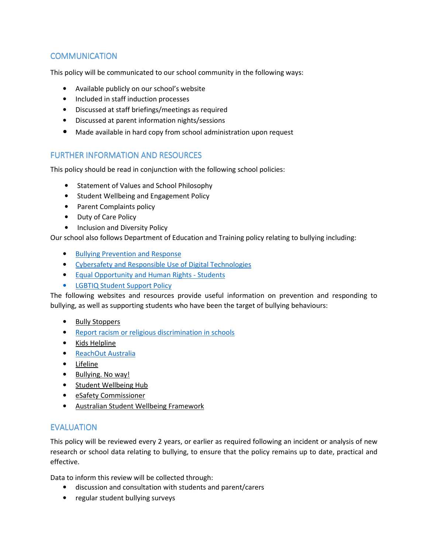# **COMMUNICATION**

This policy will be communicated to our school community in the following ways:

- Available publicly on our school's website
- Included in staff induction processes
- Discussed at staff briefings/meetings as required
- Discussed at parent information nights/sessions
- Made available in hard copy from school administration upon request

#### FURTHER INFORMATION AND RESOURCES

This policy should be read in conjunction with the following school policies:

- Statement of Values and School Philosophy
- Student Wellbeing and Engagement Policy
- Parent Complaints policy
- Duty of Care Policy
- Inclusion and Diversity Policy

Our school also follows Department of Education and Training policy relating to bullying including:

- Bullying Prevention and Response
- Cybersafety and Responsible Use of Digital Technologies
- Equal Opportunity and Human Rights Students
- LGBTIQ Student Support Policy

The following websites and resources provide useful information on prevention and responding to bullying, as well as supporting students who have been the target of bullying behaviours:

- Bully Stoppers
- Report racism or religious discrimination in schools
- Kids Helpline
- ReachOut Australia
- Lifeline
- Bullying. No way!
- Student Wellbeing Hub
- eSafety Commissioner
- Australian Student Wellbeing Framework

#### EVALUATION

This policy will be reviewed every 2 years, or earlier as required following an incident or analysis of new research or school data relating to bullying, to ensure that the policy remains up to date, practical and effective.

Data to inform this review will be collected through:

- discussion and consultation with students and parent/carers
- regular student bullying surveys